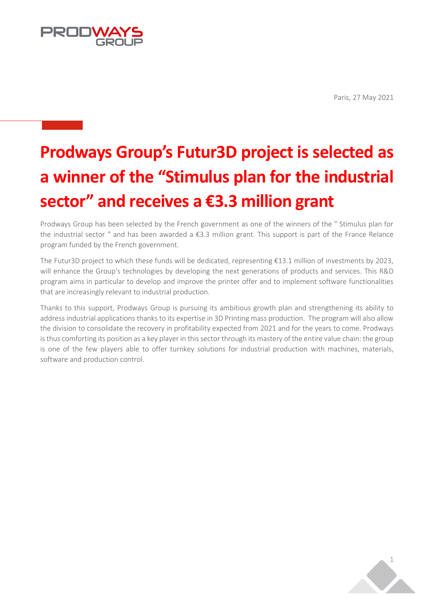Paris, 27 May 2021



# **Prodways Group's Futur3D project is selected as a winner of the "Stimulus plan for the industrial sector" and receives a €3.3 million grant**

Prodways Group has been selected by the French government as one of the winners of the " Stimulus plan for the industrial sector " and has been awarded a €3.3 million grant. This support is part of the France Relance program funded by the French government.

The Futur3D project to which these funds will be dedicated, representing €13.1 million of investments by 2023, will enhance the Group's technologies by developing the next generations of products and services. This R&D program aims in particular to develop and improve the printer offer and to implement software functionalities that are increasingly relevant to industrial production.

Thanks to this support, Prodways Group is pursuing its ambitious growth plan and strengthening its ability to address industrial applications thanks to its expertise in 3D Printing mass production. The program will also allow the division to consolidate the recovery in profitability expected from 2021 and for the years to come. Prodways is thus comforting its position as a key player in this sector through its mastery of the entire value chain: the group is one of the few players able to offer turnkey solutions for industrial production with machines, materials, software and production control.